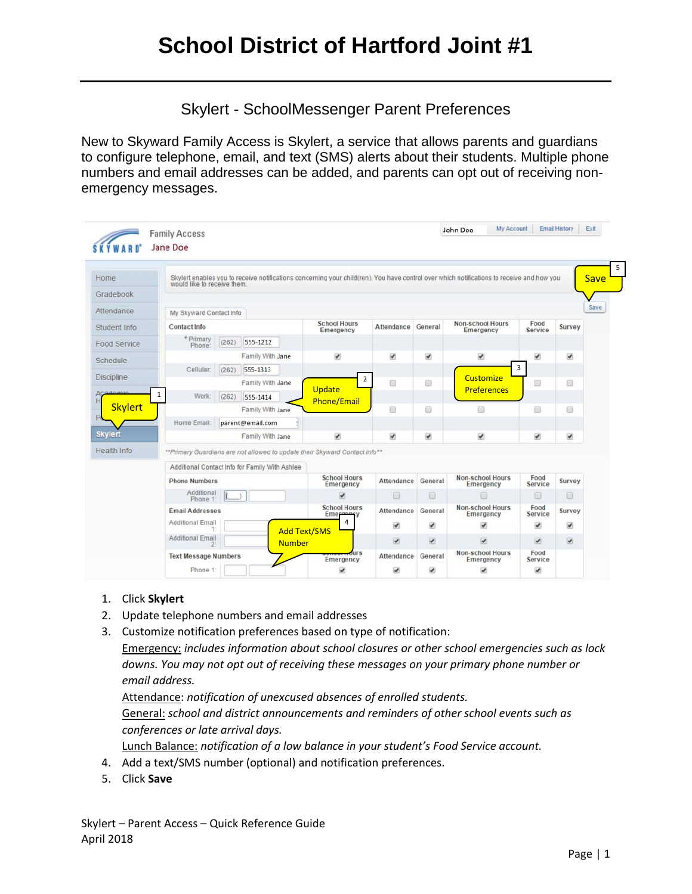Skylert - SchoolMessenger Parent Preferences

New to Skyward Family Access is Skylert, a service that allows parents and guardians to configure telephone, email, and text (SMS) alerts about their students. Multiple phone numbers and email addresses can be added, and parents can opt out of receiving nonemergency messages.

|                   | <b>Family Access</b><br>Jane Doe         |                  |                                                |                                                                             |                          |                                      |                                                                                                                                           |                          |                                    |
|-------------------|------------------------------------------|------------------|------------------------------------------------|-----------------------------------------------------------------------------|--------------------------|--------------------------------------|-------------------------------------------------------------------------------------------------------------------------------------------|--------------------------|------------------------------------|
| Home              | would like to receive them.              |                  |                                                |                                                                             |                          |                                      | Skylert enables you to receive notifications concerning your child(ren). You have control over which notifications to receive and how you |                          | <b>Save</b>                        |
| Gradebook         |                                          |                  |                                                |                                                                             |                          |                                      |                                                                                                                                           |                          |                                    |
| Attendance        | My Skyward Contact Info                  |                  |                                                |                                                                             |                          |                                      |                                                                                                                                           |                          |                                    |
| Student Info      | Contact Info                             |                  |                                                |                                                                             | Attendance               | General                              | <b>Non-school Hours</b><br>Emergency                                                                                                      | Food<br>Service          | Survey                             |
| Food Service      | * Primary<br>Phone:                      | (262)            | 555-1212                                       |                                                                             |                          |                                      |                                                                                                                                           |                          |                                    |
| Schedule          |                                          |                  | Family With Jane                               | $\checkmark$                                                                | $\overline{\mathcal{L}}$ | $\checkmark$                         | $\checkmark$                                                                                                                              | $\overline{\mathcal{L}}$ | $\overline{\mathbf{v}}$            |
|                   | <b>Cellular</b>                          | (262)            | 555-1313                                       |                                                                             |                          |                                      |                                                                                                                                           | $\overline{3}$           |                                    |
| <b>Discipline</b> |                                          |                  | Family With Jane                               | $\overline{2}$<br><b>Update</b>                                             | $\qquad \qquad \Box$     | 6                                    | Customize<br><b>Preferences</b>                                                                                                           | ⊟                        | 痼                                  |
| Academic          | $\mathbf{1}$<br>Work:                    | (262)            | 555-1414                                       | <b>Phone/Email</b>                                                          |                          |                                      |                                                                                                                                           |                          |                                    |
| <b>Skylert</b>    |                                          |                  | Family With Jane                               |                                                                             | €                        | 最                                    | €                                                                                                                                         | ⊜                        | $\left\langle \cdot \right\rangle$ |
|                   | Home Email:                              |                  | parent@email.com                               |                                                                             |                          |                                      |                                                                                                                                           |                          |                                    |
| <b>Skylert</b>    |                                          | Family With Jane |                                                |                                                                             | $\overline{\mathcal{L}}$ | $\overline{\mathcal{L}}$             | $\overline{\mathcal{L}}$                                                                                                                  | ø                        | $\blacktriangleright$              |
| Health Info       |                                          |                  |                                                | ** Primary Guardians are not allowed to update their Skyward Contact Info** |                          |                                      |                                                                                                                                           |                          |                                    |
|                   |                                          |                  | Additional Contact Info for Family With Ashlee |                                                                             |                          |                                      |                                                                                                                                           |                          |                                    |
|                   | <b>Phone Numbers</b>                     |                  | <b>School Hours</b><br>Emergency               | Attendance                                                                  | General                  | <b>Non-school Hours</b><br>Emergency | Food<br><b>Service</b>                                                                                                                    | Survey                   |                                    |
|                   | Additional<br>Phone 1:                   |                  |                                                | $\overline{\mathcal{L}}$                                                    | 63                       | 画                                    | 回                                                                                                                                         | $\square$                | 同                                  |
|                   | <b>Email Addresses</b>                   |                  |                                                | <b>School Hours</b><br>Emergency                                            | Attendance               | General                              | <b>Non-school Hours</b><br>Emergency                                                                                                      | Food<br><b>Service</b>   | <b>Survey</b>                      |
|                   | <b>Additional Email</b>                  |                  |                                                | Δ                                                                           | $\overline{\mathcal{L}}$ | ø                                    | ᢦ                                                                                                                                         | $\overline{\mathcal{L}}$ | ø                                  |
|                   | <b>Additional Email</b><br><b>Number</b> |                  |                                                | <b>Add Text/SMS</b>                                                         | $\overline{\mathcal{L}}$ | $\omega$                             | $\overline{\mathcal{L}}$                                                                                                                  | $\overline{\mathcal{L}}$ | $\overline{\mathcal{L}}$           |
|                   | <b>Text Message Numbers</b>              |                  |                                                | <b>urs</b><br>Emergency                                                     | Attendance               | General                              | <b>Non-school Hours</b><br>Emergency                                                                                                      | Food<br>Service          |                                    |
|                   | Phone 1:                                 |                  |                                                | ᢦ                                                                           | ✔                        | ⊌                                    | ₩                                                                                                                                         | $\checkmark$             |                                    |

- 1. Click **Skylert**
- 2. Update telephone numbers and email addresses
- 3. Customize notification preferences based on type of notification:

Emergency: *includes information about school closures or other school emergencies such as lock downs. You may not opt out of receiving these messages on your primary phone number or email address.*

Attendance: *notification of unexcused absences of enrolled students.*

General: *school and district announcements and reminders of other school events such as conferences or late arrival days.*

Lunch Balance: *notification of a low balance in your student's Food Service account.*

- 4. Add a text/SMS number (optional) and notification preferences.
- 5. Click **Save**